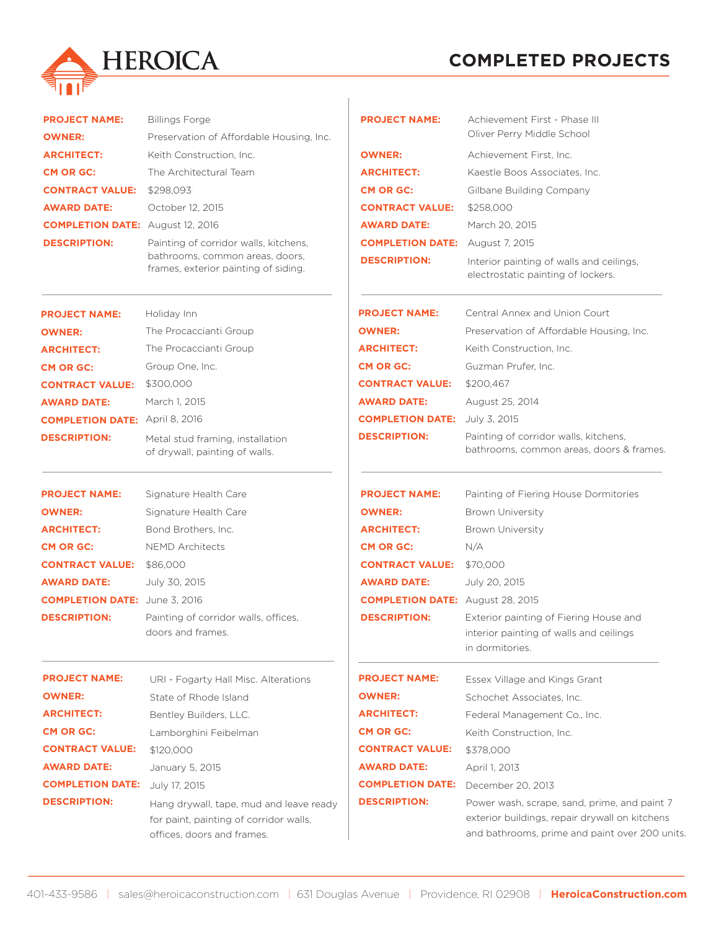

| <b>COMPLETED PROJECTS</b> |
|---------------------------|
|---------------------------|

| <b>PROJECT NAME:</b>                    | <b>Billings Forge</b>                                                                                           | <b>PROJECT NAME:</b>                    | Achievement First - Phase III                                                                                                                    |
|-----------------------------------------|-----------------------------------------------------------------------------------------------------------------|-----------------------------------------|--------------------------------------------------------------------------------------------------------------------------------------------------|
| <b>OWNER:</b>                           | Preservation of Affordable Housing, Inc.                                                                        |                                         | Oliver Perry Middle School                                                                                                                       |
| <b>ARCHITECT:</b>                       | Keith Construction, Inc.                                                                                        | <b>OWNER:</b>                           | Achievement First, Inc.                                                                                                                          |
| <b>CM OR GC:</b>                        | The Architectural Team                                                                                          | <b>ARCHITECT:</b>                       | Kaestle Boos Associates. Inc.                                                                                                                    |
| <b>CONTRACT VALUE:</b>                  | \$298,093                                                                                                       | <b>CM OR GC:</b>                        | Gilbane Building Company                                                                                                                         |
| <b>AWARD DATE:</b>                      | October 12, 2015                                                                                                | <b>CONTRACT VALUE:</b>                  | \$258,000                                                                                                                                        |
| <b>COMPLETION DATE:</b> August 12, 2016 |                                                                                                                 | <b>AWARD DATE:</b>                      | March 20, 2015                                                                                                                                   |
| <b>DESCRIPTION:</b>                     | Painting of corridor walls, kitchens,                                                                           | <b>COMPLETION DATE:</b>                 | August 7, 2015                                                                                                                                   |
|                                         | bathrooms, common areas, doors,<br>frames, exterior painting of siding.                                         | <b>DESCRIPTION:</b>                     | Interior painting of walls and ceilings,<br>electrostatic painting of lockers.                                                                   |
| <b>PROJECT NAME:</b>                    | Holiday Inn                                                                                                     | <b>PROJECT NAME:</b>                    | Central Annex and Union Court                                                                                                                    |
| <b>OWNER:</b>                           | The Procaccianti Group                                                                                          | <b>OWNER:</b>                           | Preservation of Affordable Housing, Inc.                                                                                                         |
| <b>ARCHITECT:</b>                       | The Procaccianti Group                                                                                          | <b>ARCHITECT:</b>                       | Keith Construction, Inc.                                                                                                                         |
| <b>CM OR GC:</b>                        | Group One, Inc.                                                                                                 | <b>CM OR GC:</b>                        | Guzman Prufer, Inc.                                                                                                                              |
| <b>CONTRACT VALUE:</b>                  | \$300,000                                                                                                       | <b>CONTRACT VALUE:</b>                  | \$200,467                                                                                                                                        |
| <b>AWARD DATE:</b>                      | March 1, 2015                                                                                                   | <b>AWARD DATE:</b>                      | August 25, 2014                                                                                                                                  |
| <b>COMPLETION DATE: April 8, 2016</b>   |                                                                                                                 | <b>COMPLETION DATE:</b>                 | July 3, 2015                                                                                                                                     |
| <b>DESCRIPTION:</b>                     | Metal stud framing, installation<br>of drywall, painting of walls.                                              | <b>DESCRIPTION:</b>                     | Painting of corridor walls, kitchens,<br>bathrooms, common areas, doors & frames.                                                                |
| <b>PROJECT NAME:</b>                    | Signature Health Care                                                                                           | <b>PROJECT NAME:</b>                    | Painting of Fiering House Dormitories                                                                                                            |
| <b>OWNER:</b>                           | Signature Health Care                                                                                           | <b>OWNER:</b>                           | <b>Brown University</b>                                                                                                                          |
| <b>ARCHITECT:</b>                       | Bond Brothers, Inc.                                                                                             | <b>ARCHITECT:</b>                       | <b>Brown University</b>                                                                                                                          |
| <b>CM OR GC:</b>                        | <b>NEMD Architects</b>                                                                                          | <b>CM OR GC:</b>                        | N/A                                                                                                                                              |
| <b>CONTRACT VALUE:</b>                  | \$86,000                                                                                                        | <b>CONTRACT VALUE:</b>                  | \$70,000                                                                                                                                         |
| <b>AWARD DATE:</b>                      | July 30, 2015                                                                                                   | <b>AWARD DATE:</b>                      | July 20, 2015                                                                                                                                    |
| <b>COMPLETION DATE:</b> June 3, 2016    |                                                                                                                 | <b>COMPLETION DATE:</b> August 28, 2015 |                                                                                                                                                  |
| <b>DESCRIPTION:</b>                     | Painting of corridor walls, offices,<br>doors and frames.                                                       | <b>DESCRIPTION:</b>                     | Exterior painting of Fiering House and<br>interior painting of walls and ceilings<br>in dormitories.                                             |
| <b>PROJECT NAME:</b>                    | URI - Fogarty Hall Misc. Alterations                                                                            | <b>PROJECT NAME:</b>                    | Essex Village and Kings Grant                                                                                                                    |
| <b>OWNER:</b>                           | State of Rhode Island                                                                                           | <b>OWNER:</b>                           | Schochet Associates, Inc.                                                                                                                        |
| <b>ARCHITECT:</b>                       | Bentley Builders, LLC.                                                                                          | <b>ARCHITECT:</b>                       | Federal Management Co., Inc.                                                                                                                     |
| <b>CM OR GC:</b>                        | Lamborghini Feibelman                                                                                           | <b>CM OR GC:</b>                        | Keith Construction, Inc.                                                                                                                         |
| <b>CONTRACT VALUE:</b>                  | \$120,000                                                                                                       | <b>CONTRACT VALUE:</b>                  | \$378,000                                                                                                                                        |
| <b>AWARD DATE:</b>                      | January 5, 2015                                                                                                 | <b>AWARD DATE:</b>                      | April 1, 2013                                                                                                                                    |
| <b>COMPLETION DATE:</b>                 | July 17, 2015                                                                                                   | <b>COMPLETION DATE:</b>                 | December 20, 2013                                                                                                                                |
| <b>DESCRIPTION:</b>                     | Hang drywall, tape, mud and leave ready<br>for paint, painting of corridor walls,<br>offices, doors and frames. | <b>DESCRIPTION:</b>                     | Power wash, scrape, sand, prime, and paint 7<br>exterior buildings, repair drywall on kitchens<br>and bathrooms, prime and paint over 200 units. |
|                                         |                                                                                                                 |                                         |                                                                                                                                                  |